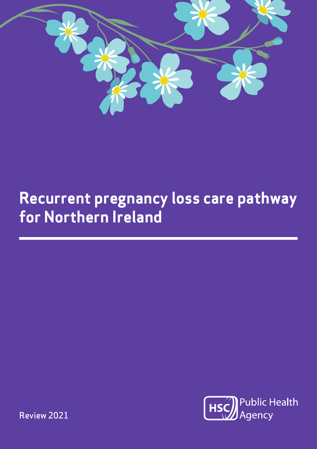

# **Recurrent pregnancy loss care pathway for Northern Ireland**



Review 2021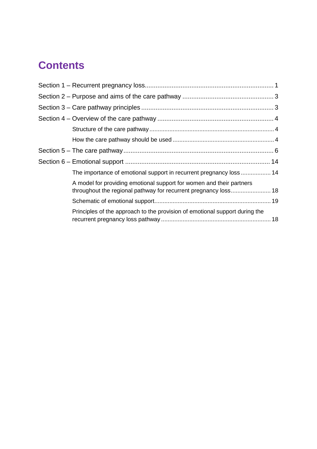# **Contents**

|  | The importance of emotional support in recurrent pregnancy loss 14                                                                      |  |  |
|--|-----------------------------------------------------------------------------------------------------------------------------------------|--|--|
|  | A model for providing emotional support for women and their partners<br>throughout the regional pathway for recurrent pregnancy loss 18 |  |  |
|  |                                                                                                                                         |  |  |
|  | Principles of the approach to the provision of emotional support during the                                                             |  |  |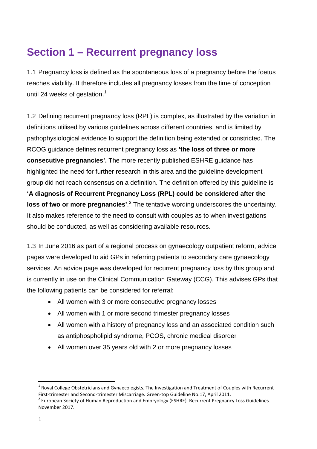# <span id="page-2-0"></span>**Section 1 – Recurrent pregnancy loss**

1.1 Pregnancy loss is defined as the spontaneous loss of a pregnancy before the foetus reaches viability. It therefore includes all pregnancy losses from the time of conception until 24 weeks of gestation. $1$ 

1.2 Defining recurrent pregnancy loss (RPL) is complex, as illustrated by the variation in definitions utilised by various guidelines across different countries, and is limited by pathophysiological evidence to support the definition being extended or constricted. The RCOG guidance defines recurrent pregnancy loss as **'the loss of three or more consecutive pregnancies'.** The more recently published ESHRE guidance has highlighted the need for further research in this area and the guideline development group did not reach consensus on a definition. The definition offered by this guideline is **'A diagnosis of Recurrent Pregnancy Loss (RPL) could be considered after the**  loss of two or more pregnancies<sup>'. <sup>[2](#page-2-2)</sup> The tentative wording underscores the uncertainty.</sup> It also makes reference to the need to consult with couples as to when investigations should be conducted, as well as considering available resources.

1.3 In June 2016 as part of a regional process on gynaecology outpatient reform, advice pages were developed to aid GPs in referring patients to secondary care gynaecology services. An advice page was developed for recurrent pregnancy loss by this group and is currently in use on the Clinical Communication Gateway (CCG). This advises GPs that the following patients can be considered for referral:

- All women with 3 or more consecutive pregnancy losses
- All women with 1 or more second trimester pregnancy losses
- All women with a history of pregnancy loss and an associated condition such as antiphospholipid syndrome, PCOS, chronic medical disorder
- All women over 35 years old with 2 or more pregnancy losses

<span id="page-2-1"></span> $1$  Royal College Obstetricians and Gynaecologists. The Investigation and Treatment of Couples with Recurrent First-trimester and Second-trimester Miscarriage. Green-top Guideline No.17, April 2011.<br><sup>2</sup> European Society of Human Reproduction and Embryology (ESHRE). Recurrent Pregnancy Loss Guidelines.

<span id="page-2-2"></span>November 2017.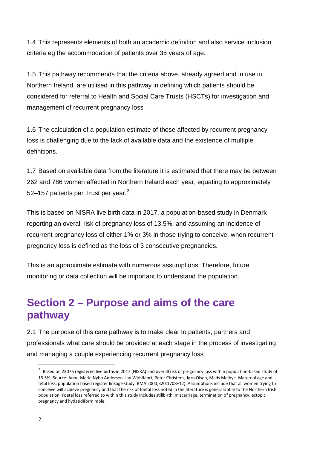1.4 This represents elements of both an academic definition and also service inclusion criteria eg the accommodation of patients over 35 years of age.

1.5 This pathway recommends that the criteria above, already agreed and in use in Northern Ireland, are utilised in this pathway in defining which patients should be considered for referral to Health and Social Care Trusts (HSCTs) for investigation and management of recurrent pregnancy loss

1.6 The calculation of a population estimate of those affected by recurrent pregnancy loss is challenging due to the lack of available data and the existence of multiple definitions.

1.7 Based on available data from the literature it is estimated that there may be between 262 and 786 women affected in Northern Ireland each year, equating to approximately 52–157 patients per Trust per year. $3$ 

This is based on NISRA live birth data in 2017, a population-based study in Denmark reporting an overall risk of pregnancy loss of 13.5%, and assuming an incidence of recurrent pregnancy loss of either 1% or 3% in those trying to conceive, when recurrent pregnancy loss is defined as the loss of 3 consecutive pregnancies.

This is an approximate estimate with numerous assumptions. Therefore, future monitoring or data collection will be important to understand the population.

# <span id="page-3-0"></span>**Section 2 – Purpose and aims of the care pathway**

2.1 The purpose of this care pathway is to make clear to patients, partners and professionals what care should be provided at each stage in the process of investigating and managing a couple experiencing recurrent pregnancy loss

<span id="page-3-1"></span><sup>&</sup>lt;sup>3</sup> Based on 23076 registered live births in 2017 (NISRA) and overall risk of pregnancy loss within population-based study of 13.5% (Source: Anne-Marie Nybo Andersen, Jan Wohlfahrt, Peter Christens, Jørn Olsen, Mads Melbye. Maternal age and fetal loss: population based register linkage study. BMA 2000;320:1708–12). Assumptions include that all women trying to conceive will achieve pregnancy and that the risk of foetal loss noted in the literature is generalizable to the Northern Irish population. Foetal loss referred to within this study includes stillbirth, miscarriage, termination of pregnancy, ectopic pregnancy and hydatidiform mole.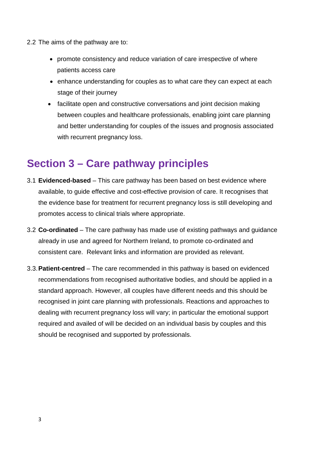- 2.2 The aims of the pathway are to:
	- promote consistency and reduce variation of care irrespective of where patients access care
	- enhance understanding for couples as to what care they can expect at each stage of their journey
	- facilitate open and constructive conversations and joint decision making between couples and healthcare professionals, enabling joint care planning and better understanding for couples of the issues and prognosis associated with recurrent pregnancy loss.

### <span id="page-4-0"></span>**Section 3 – Care pathway principles**

- 3.1 **Evidenced-based** This care pathway has been based on best evidence where available, to guide effective and cost-effective provision of care. It recognises that the evidence base for treatment for recurrent pregnancy loss is still developing and promotes access to clinical trials where appropriate.
- 3.2 **Co-ordinated** The care pathway has made use of existing pathways and guidance already in use and agreed for Northern Ireland, to promote co-ordinated and consistent care. Relevant links and information are provided as relevant.
- 3.3.**Patient-centred** The care recommended in this pathway is based on evidenced recommendations from recognised authoritative bodies, and should be applied in a standard approach. However, all couples have different needs and this should be recognised in joint care planning with professionals. Reactions and approaches to dealing with recurrent pregnancy loss will vary; in particular the emotional support required and availed of will be decided on an individual basis by couples and this should be recognised and supported by professionals.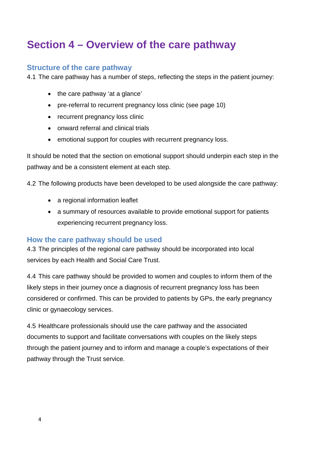# <span id="page-5-0"></span>**Section 4 – Overview of the care pathway**

#### <span id="page-5-1"></span>**Structure of the care pathway**

4.1 The care pathway has a number of steps, reflecting the steps in the patient journey:

- the care pathway 'at a glance'
- pre-referral to recurrent pregnancy loss clinic (see page 10)
- recurrent pregnancy loss clinic
- onward referral and clinical trials
- emotional support for couples with recurrent pregnancy loss.

It should be noted that the section on emotional support should underpin each step in the pathway and be a consistent element at each step.

4.2 The following products have been developed to be used alongside the care pathway:

- a regional information leaflet
- a summary of resources available to provide emotional support for patients experiencing recurrent pregnancy loss.

#### <span id="page-5-2"></span>**How the care pathway should be used**

4.3 The principles of the regional care pathway should be incorporated into local services by each Health and Social Care Trust.

4.4 This care pathway should be provided to women and couples to inform them of the likely steps in their journey once a diagnosis of recurrent pregnancy loss has been considered or confirmed. This can be provided to patients by GPs, the early pregnancy clinic or gynaecology services.

4.5 Healthcare professionals should use the care pathway and the associated documents to support and facilitate conversations with couples on the likely steps through the patient journey and to inform and manage a couple's expectations of their pathway through the Trust service.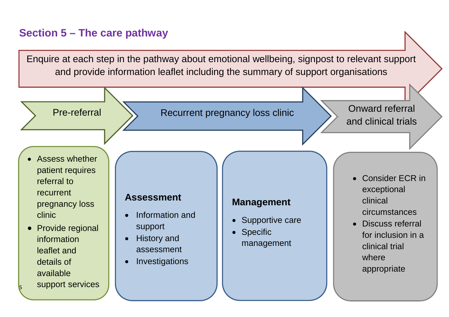### **Section 5 – The care pathway**

Enquire at each step in the pathway about emotional wellbeing, signpost to relevant support and provide information leaflet including the summary of support organisations

<span id="page-6-0"></span>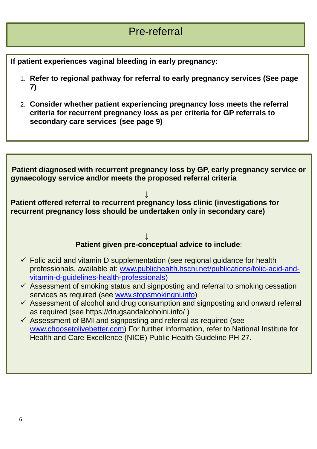### Pre-referral

**If patient experiences vaginal bleeding in early pregnancy:**

- 1. **Refer to regional pathway for referral to early pregnancy services (See page 7)**
- 2. **Consider whether patient experiencing pregnancy loss meets the referral criteria for recurrent pregnancy loss as per criteria for GP referrals to secondary care services (see page 9)**

**Patient diagnosed with recurrent pregnancy loss by GP, early pregnancy service or gynaecology service and/or meets the proposed referral criteria ↓ Patient offered referral to recurrent pregnancy loss clinic (investigations for recurrent pregnancy loss should be undertaken only in secondary care) ↓ Patient given pre-conceptual advice to include**:  $\checkmark$  Folic acid and vitamin D supplementation (see regional guidance for health professionals, available at: [www.publichealth.hscni.net/publications/folic-acid-and](http://www.publichealth.hscni.net/publications/folic-acid-and-vitamin-d-guidelines-health-professionals)[vitamin-d-guidelines-health-professionals\)](http://www.publichealth.hscni.net/publications/folic-acid-and-vitamin-d-guidelines-health-professionals)  $\checkmark$  Assessment of smoking status and signposting and referral to smoking cessation services as required (see [www.stopsmokingni.info\)](http://www.stopsmokingni.info/)  $\checkmark$  Assessment of alcohol and drug consumption and signposting and onward referral as required (see https://drugsandalcoholni.info/ )  $\checkmark$  Assessment of BMI and signposting and referral as required (see [www.choosetolivebetter.com\)](http://www.choosetolivebetter.com/) For further information, refer to National Institute for Health and Care Excellence (NICE) Public Health Guideline PH 27.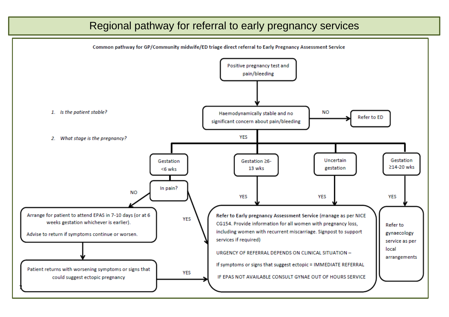### Regional pathway for referral to early pregnancy services

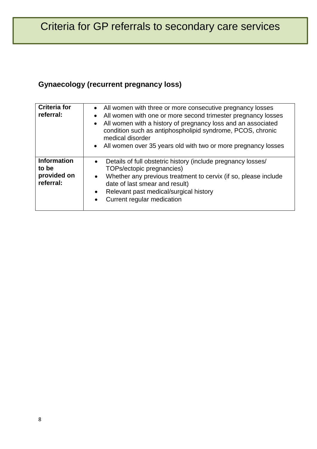### **Gynaecology (recurrent pregnancy loss)**

| <b>Criteria for</b><br>referral:                        | • All women with three or more consecutive pregnancy losses<br>All women with one or more second trimester pregnancy losses<br>$\bullet$<br>• All women with a history of pregnancy loss and an associated<br>condition such as antiphospholipid syndrome, PCOS, chronic<br>medical disorder<br>• All women over 35 years old with two or more pregnancy losses |
|---------------------------------------------------------|-----------------------------------------------------------------------------------------------------------------------------------------------------------------------------------------------------------------------------------------------------------------------------------------------------------------------------------------------------------------|
| <b>Information</b><br>to be<br>provided on<br>referral: | Details of full obstetric history (include pregnancy losses/<br>$\bullet$<br>TOPs/ectopic pregnancies)<br>Whether any previous treatment to cervix (if so, please include<br>$\bullet$<br>date of last smear and result)<br>Relevant past medical/surgical history<br>$\bullet$<br>Current regular medication<br>$\bullet$                                      |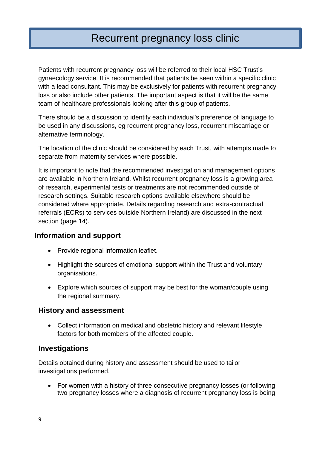### Recurrent pregnancy loss clinic

Patients with recurrent pregnancy loss will be referred to their local HSC Trust's gynaecology service. It is recommended that patients be seen within a specific clinic with a lead consultant. This may be exclusively for patients with recurrent pregnancy loss or also include other patients. The important aspect is that it will be the same team of healthcare professionals looking after this group of patients.

There should be a discussion to identify each individual's preference of language to be used in any discussions, eg recurrent pregnancy loss, recurrent miscarriage or alternative terminology.

The location of the clinic should be considered by each Trust, with attempts made to separate from maternity services where possible.

It is important to note that the recommended investigation and management options are available in Northern Ireland. Whilst recurrent pregnancy loss is a growing area of research, experimental tests or treatments are not recommended outside of research settings. Suitable research options available elsewhere should be considered where appropriate. Details regarding research and extra-contractual referrals (ECRs) to services outside Northern Ireland) are discussed in the next section (page 14).

#### **Information and support**

- Provide regional information leaflet.
- Highlight the sources of emotional support within the Trust and voluntary organisations.
- Explore which sources of support may be best for the woman/couple using the regional summary.

#### **History and assessment**

• Collect information on medical and obstetric history and relevant lifestyle factors for both members of the affected couple.

#### **Investigations**

Details obtained during history and assessment should be used to tailor investigations performed.

• For women with a history of three consecutive pregnancy losses (or following two pregnancy losses where a diagnosis of recurrent pregnancy loss is being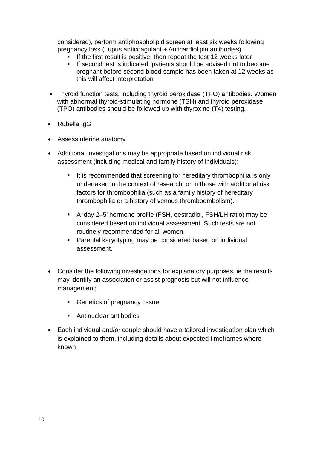considered), perform antiphospholipid screen at least six weeks following pregnancy loss (Lupus anticoagulant + Anticardiolipin antibodies)

- If the first result is positive, then repeat the test 12 weeks later
- **If second test is indicated, patients should be advised not to become** pregnant before second blood sample has been taken at 12 weeks as this will affect interpretation
- Thyroid function tests, including thyroid peroxidase (TPO) antibodies. Women with abnormal thyroid-stimulating hormone (TSH) and thyroid peroxidase (TPO) antibodies should be followed up with thyroxine (T4) testing.
- Rubella IgG
- Assess uterine anatomy
- Additional investigations may be appropriate based on individual risk assessment (including medical and family history of individuals):
	- It is recommended that screening for hereditary thrombophilia is only undertaken in the context of research, or in those with additional risk factors for thrombophilia (such as a family history of hereditary thrombophilia or a history of venous thromboembolism).
	- A 'day 2–5' hormone profile (FSH, oestradiol, FSH/LH ratio) may be considered based on individual assessment. Such tests are not routinely recommended for all women.
	- Parental karyotyping may be considered based on individual assessment.
- Consider the following investigations for explanatory purposes, ie the results may identify an association or assist prognosis but will not influence management:
	- Genetics of pregnancy tissue
	- Antinuclear antibodies
- Each individual and/or couple should have a tailored investigation plan which is explained to them, including details about expected timeframes where known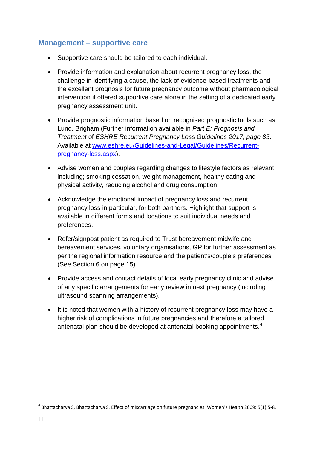#### **Management – supportive care**

- Supportive care should be tailored to each individual.
- Provide information and explanation about recurrent pregnancy loss, the challenge in identifying a cause, the lack of evidence-based treatments and the excellent prognosis for future pregnancy outcome without pharmacological intervention if offered supportive care alone in the setting of a dedicated early pregnancy assessment unit.
- Provide prognostic information based on recognised prognostic tools such as Lund, Brigham (Further information available in *Part E: Prognosis and Treatment* of *ESHRE Recurrent Pregnancy Loss Guidelines 2017, page 85*. Available at [www.eshre.eu/Guidelines-and-Legal/Guidelines/Recurrent](http://www.eshre.eu/Guidelines-and-Legal/Guidelines/Recurrent-pregnancy-loss.aspx)[pregnancy-loss.aspx\)](http://www.eshre.eu/Guidelines-and-Legal/Guidelines/Recurrent-pregnancy-loss.aspx).
- Advise women and couples regarding changes to lifestyle factors as relevant, including; smoking cessation, weight management, healthy eating and physical activity, reducing alcohol and drug consumption.
- Acknowledge the emotional impact of pregnancy loss and recurrent pregnancy loss in particular, for both partners. Highlight that support is available in different forms and locations to suit individual needs and preferences.
- Refer/signpost patient as required to Trust bereavement midwife and bereavement services, voluntary organisations, GP for further assessment as per the regional information resource and the patient's/couple's preferences (See Section 6 on page 15).
- Provide access and contact details of local early pregnancy clinic and advise of any specific arrangements for early review in next pregnancy (including ultrasound scanning arrangements).
- It is noted that women with a history of recurrent pregnancy loss may have a higher risk of complications in future pregnancies and therefore a tailored antenatal plan should be developed at antenatal booking appointments.<sup>[4](#page-12-0)</sup>

 $\overline{a}$ 

<span id="page-12-0"></span><sup>4</sup> Bhattacharya S, Bhattacharya S. Effect of miscarriage on future pregnancies. Women's Health 2009: 5(1);5-8.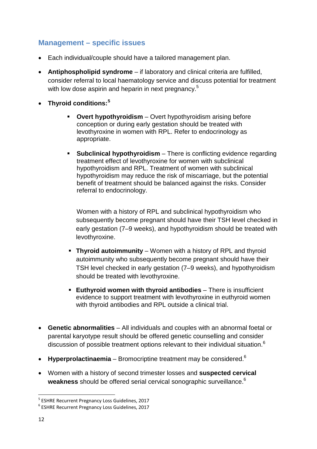#### **Management – specific issues**

- Each individual/couple should have a tailored management plan.
- **Antiphospholipid syndrome** if laboratory and clinical criteria are fulfilled, consider referral to local haematology service and discuss potential for treatment with low dose aspirin and heparin in next pregnancy.<sup>5</sup>
- **Thyroid conditions: [5](#page-13-0)**
	- **Overt hypothyroidism**  Overt hypothyroidism arising before conception or during early gestation should be treated with levothyroxine in women with RPL. Refer to endocrinology as appropriate.
	- **Subclinical hypothyroidism** There is conflicting evidence regarding treatment effect of levothyroxine for women with subclinical hypothyroidism and RPL. Treatment of women with subclinical hypothyroidism may reduce the risk of miscarriage, but the potential benefit of treatment should be balanced against the risks. Consider referral to endocrinology.

Women with a history of RPL and subclinical hypothyroidism who subsequently become pregnant should have their TSH level checked in early gestation (7–9 weeks), and hypothyroidism should be treated with levothyroxine.

- **Thyroid autoimmunity** Women with a history of RPL and thyroid autoimmunity who subsequently become pregnant should have their TSH level checked in early gestation (7–9 weeks), and hypothyroidism should be treated with levothyroxine.
- **Euthyroid women with thyroid antibodies** There is insufficient evidence to support treatment with levothyroxine in euthyroid women with thyroid antibodies and RPL outside a clinical trial.
- **Genetic abnormalities**  All individuals and couples with an abnormal foetal or parental karyotype result should be offered genetic counselling and consider discussion of possible treatment options relevant to their individual situation.<sup>[6](#page-13-1)</sup>
- **Hyperprolactinaemia** Bromocriptine treatment may be considered.<sup>6</sup>
- Women with a history of second trimester losses and **suspected cervical weakness** should be offered serial cervical sonographic surveillance.6

 $\overline{a}$ 

<span id="page-13-0"></span><sup>&</sup>lt;sup>5</sup> ESHRE Recurrent Pregnancy Loss Guidelines, 2017<br><sup>6</sup> ESHRE Recurrent Pregnancy Loss Guidelines, 2017

<span id="page-13-1"></span>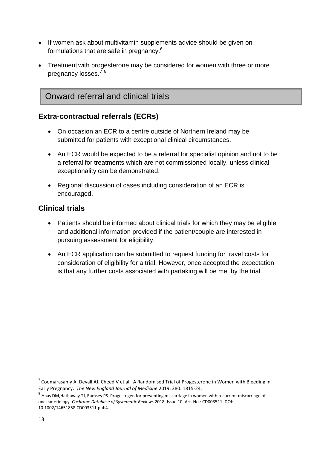- If women ask about multivitamin supplements advice should be given on formulations that are safe in pregnancy.<sup>6</sup>
- Treatment with progesterone may be considered for women with three or more pregnancy losses.<sup>[7](#page-14-0)[8](#page-14-1)</sup>

### Onward referral and clinical trials

#### **Extra-contractual referrals (ECRs)**

- On occasion an ECR to a centre outside of Northern Ireland may be submitted for patients with exceptional clinical circumstances.
- An ECR would be expected to be a referral for specialist opinion and not to be a referral for treatments which are not commissioned locally, unless clinical exceptionality can be demonstrated.
- Regional discussion of cases including consideration of an ECR is encouraged.

#### **Clinical trials**

- Patients should be informed about clinical trials for which they may be eligible and additional information provided if the patient/couple are interested in pursuing assessment for eligibility.
- An ECR application can be submitted to request funding for travel costs for consideration of eligibility for a trial. However, once accepted the expectation is that any further costs associated with partaking will be met by the trial.

1

<span id="page-14-0"></span> $7$  Coomarasamy A, Devall AJ, Cheed V et al. A Randomised Trial of Progesterone in Women with Bleeding in Early Pregnancy. *The New England Journal of Medicine* 2019; 380: 1815-24.

<span id="page-14-1"></span><sup>8</sup> Haas DM,Hathaway TJ, Ramsey PS. Progestogen for preventing miscarriage in women with recurrent miscarriage of unclear etiology. *Cochrane Database of Systematic Reviews* 2018, Issue 10. Art. No.: CD003511. DOI: 10.1002/14651858.CD003511.pub4.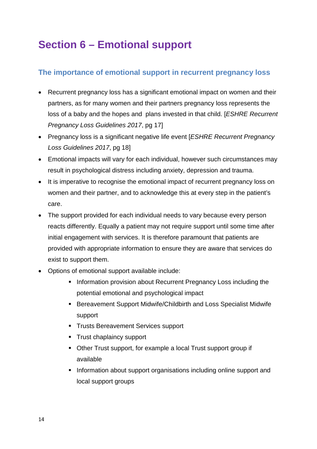# <span id="page-15-0"></span>**Section 6 – Emotional support**

#### <span id="page-15-1"></span>**The importance of emotional support in recurrent pregnancy loss**

- Recurrent pregnancy loss has a significant emotional impact on women and their partners, as for many women and their partners pregnancy loss represents the loss of a baby and the hopes and plans invested in that child. [*ESHRE Recurrent Pregnancy Loss Guidelines 2017*, pg 17]
- Pregnancy loss is a significant negative life event [*ESHRE Recurrent Pregnancy Loss Guidelines 2017*, pg 18]
- Emotional impacts will vary for each individual, however such circumstances may result in psychological distress including anxiety, depression and trauma.
- It is imperative to recognise the emotional impact of recurrent pregnancy loss on women and their partner, and to acknowledge this at every step in the patient's care.
- The support provided for each individual needs to vary because every person reacts differently. Equally a patient may not require support until some time after initial engagement with services. It is therefore paramount that patients are provided with appropriate information to ensure they are aware that services do exist to support them.
- Options of emotional support available include:
	- **Information provision about Recurrent Pregnancy Loss including the** potential emotional and psychological impact
	- **Bereavement Support Midwife/Childbirth and Loss Specialist Midwife** support
	- **Trusts Bereavement Services support**
	- **Trust chaplaincy support**
	- Other Trust support, for example a local Trust support group if available
	- **Information about support organisations including online support and** local support groups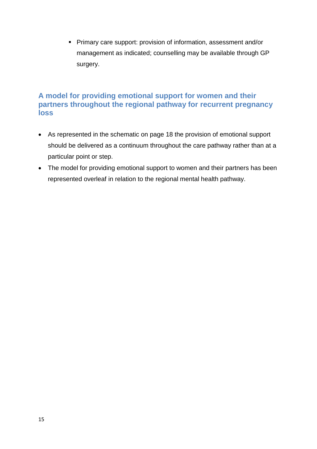Primary care support: provision of information, assessment and/or management as indicated; counselling may be available through GP surgery.

#### <span id="page-16-0"></span>**A model for providing emotional support for women and their partners throughout the regional pathway for recurrent pregnancy loss**

- As represented in the schematic on page 18 the provision of emotional support should be delivered as a continuum throughout the care pathway rather than at a particular point or step.
- The model for providing emotional support to women and their partners has been represented overleaf in relation to the regional mental health pathway.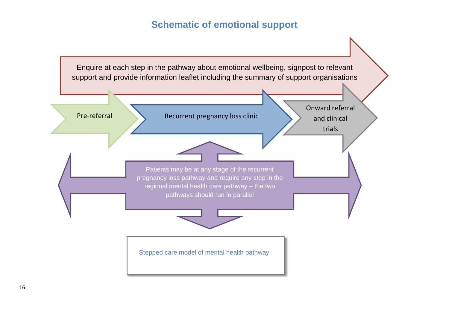### **Schematic of emotional support**

<span id="page-17-0"></span>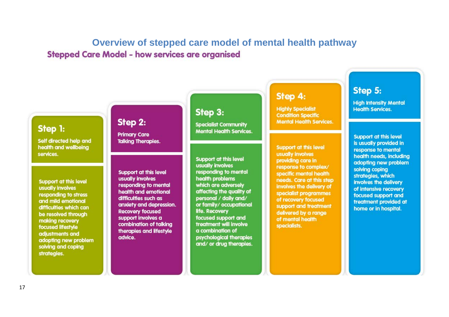### **Overview of stepped care model of mental health pathway Stepped Care Model - how services are organised**

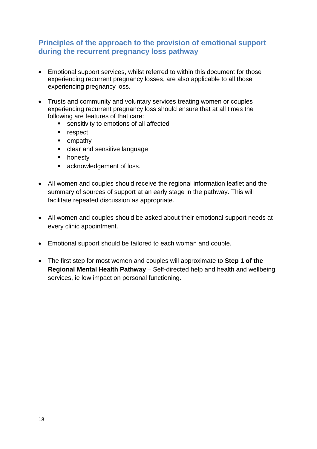#### <span id="page-19-0"></span>**Principles of the approach to the provision of emotional support during the recurrent pregnancy loss pathway**

- Emotional support services, whilst referred to within this document for those experiencing recurrent pregnancy losses, are also applicable to all those experiencing pregnancy loss.
- Trusts and community and voluntary services treating women or couples experiencing recurrent pregnancy loss should ensure that at all times the following are features of that care:
	- **Exercisive** sensitivity to emotions of all affected
	- **respect**
	- **Exemplement**
	- **EXEC** clear and sensitive language
	- **n** honesty
	- **acknowledgement of loss.**
- All women and couples should receive the regional information leaflet and the summary of sources of support at an early stage in the pathway. This will facilitate repeated discussion as appropriate.
- All women and couples should be asked about their emotional support needs at every clinic appointment.
- Emotional support should be tailored to each woman and couple.
- The first step for most women and couples will approximate to **Step 1 of the Regional Mental Health Pathway** – Self-directed help and health and wellbeing services, ie low impact on personal functioning.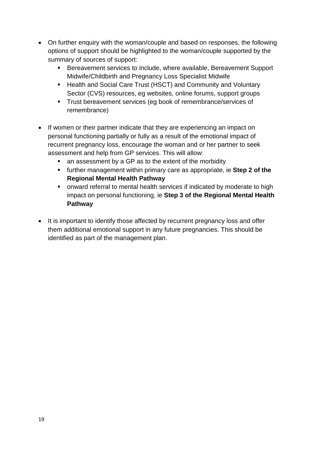- On further enquiry with the woman/couple and based on responses, the following options of support should be highlighted to the woman/couple supported by the summary of sources of support:
	- Bereavement services to include, where available, Bereavement Support Midwife/Childbirth and Pregnancy Loss Specialist Midwife
	- Health and Social Care Trust (HSCT) and Community and Voluntary Sector (CVS) resources, eg websites, online forums, support groups
	- **Trust bereavement services (eg book of remembrance/services of** remembrance)
- If women or their partner indicate that they are experiencing an impact on personal functioning partially or fully as a result of the emotional impact of recurrent pregnancy loss, encourage the woman and or her partner to seek assessment and help from GP services. This will allow:
	- an assessment by a GP as to the extent of the morbidity
	- further management within primary care as appropriate, ie **Step 2 of the Regional Mental Health Pathway**
	- **•** onward referral to mental health services if indicated by moderate to high impact on personal functioning, ie **Step 3 of the Regional Mental Health Pathway**
- It is important to identify those affected by recurrent pregnancy loss and offer them additional emotional support in any future pregnancies. This should be identified as part of the management plan.